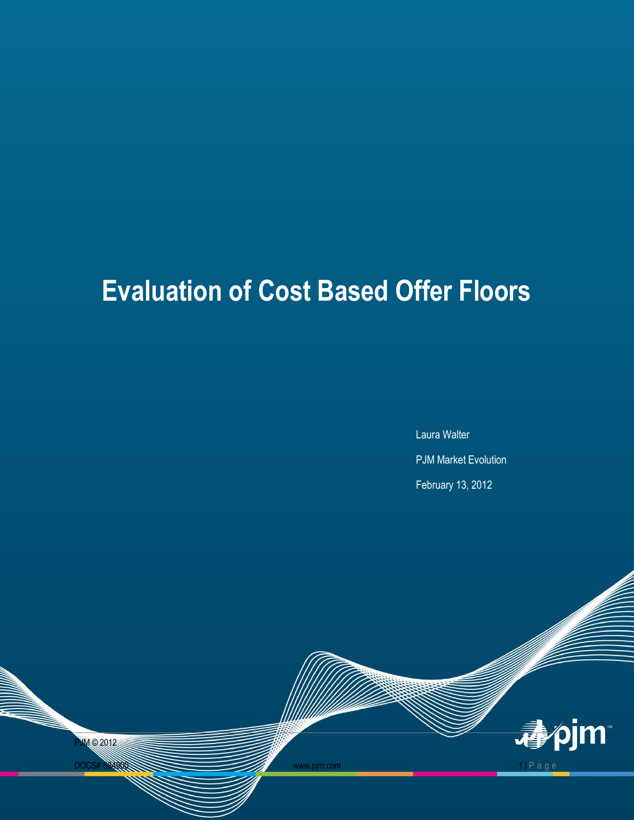# **Evaluation of Cost Based Offer Floors**

Laura Walter PJM Market Evolution February 13, 2012

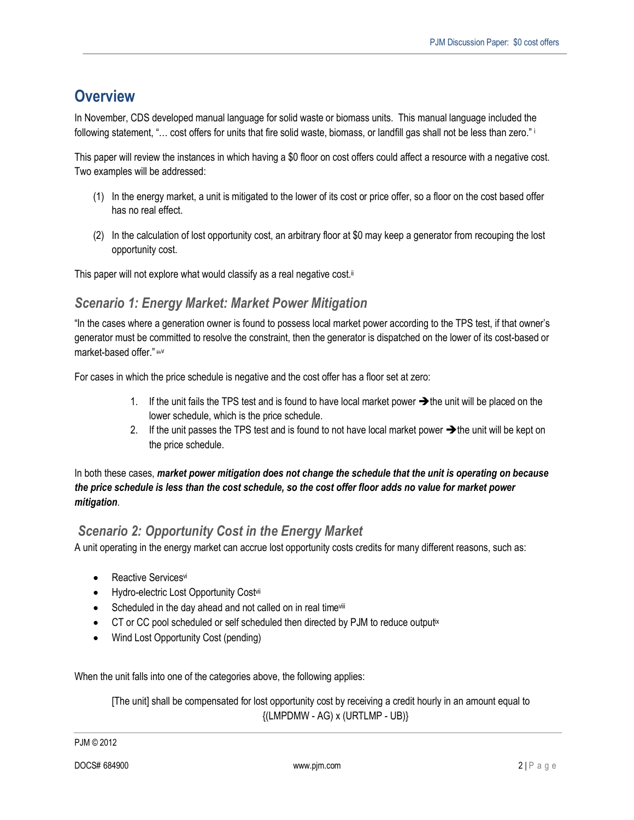# **Overview**

In November, CDS developed manual language for solid waste or biomass units. This manual language included the following statement, "… cost offers for units that fire solid waste, biomass, or landfill gas shall not be less than zero." <sup>i</sup>

This paper will review the instances in which having a \$0 floor on cost offers could affect a resource with a negative cost. Two examples will be addressed:

- (1) In the energy market, a unit is mitigated to the lower of its cost or price offer, so a floor on the cost based offer has no real effect.
- (2) In the calculation of lost opportunity cost, an arbitrary floor at \$0 may keep a generator from recouping the lost opportunity cost.

This paper will not explore what would classify as a real negative cost.ii

## *Scenario 1: Energy Market: Market Power Mitigation*

"In the cases where a generation owner is found to possess local market power according to the TPS test, if that owner's generator must be committed to resolve the constraint, then the generator is dispatched on the lower of its cost-based or market-based offer." iiiv

For cases in which the price schedule is negative and the cost offer has a floor set at zero:

- 1. If the unit fails the TPS test and is found to have local market power  $\rightarrow$  the unit will be placed on the lower schedule, which is the price schedule.
- 2. If the unit passes the TPS test and is found to not have local market power  $\rightarrow$  the unit will be kept on the price schedule.

#### In both these cases, *market power mitigation does not change the schedule that the unit is operating on because the price schedule is less than the cost schedule, so the cost offer floor adds no value for market power mitigation*.

## *Scenario 2: Opportunity Cost in the Energy Market*

A unit operating in the energy market can accrue lost opportunity costs credits for many different reasons, such as:

- Reactive Servicesvi
- Hydro-electric Lost Opportunity Costvii
- Scheduled in the day ahead and not called on in real timevili
- CT or CC pool scheduled or self scheduled then directed by PJM to reduce outputix
- Wind Lost Opportunity Cost (pending)

When the unit falls into one of the categories above, the following applies:

[The unit] shall be compensated for lost opportunity cost by receiving a credit hourly in an amount equal to  $\{(LMPDMW - AG) \times (URTLMP - UB)\}$ 

PJM © 2012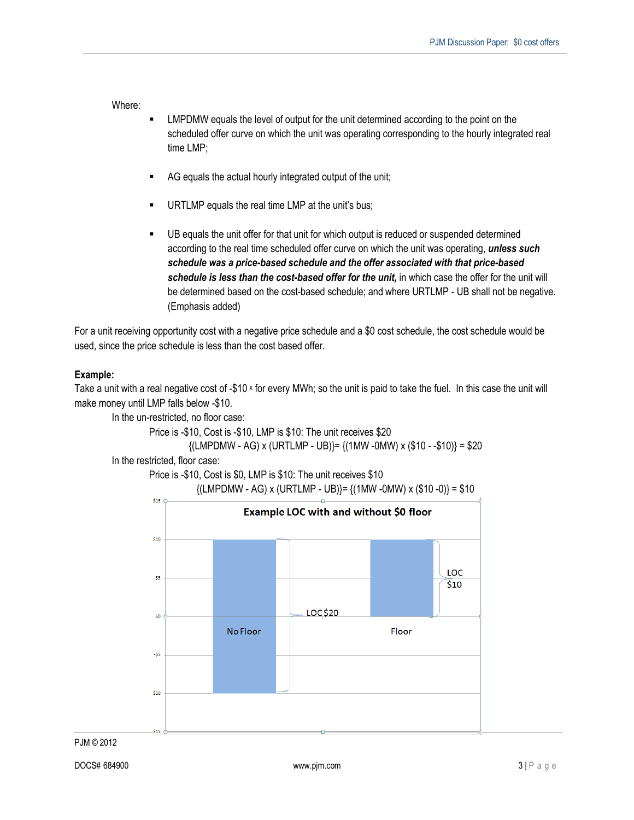Where:

- LMPDMW equals the level of output for the unit determined according to the point on the scheduled offer curve on which the unit was operating corresponding to the hourly integrated real time LMP;
- AG equals the actual hourly integrated output of the unit;
- URTLMP equals the real time LMP at the unit's bus;
- UB equals the unit offer for that unit for which output is reduced or suspended determined according to the real time scheduled offer curve on which the unit was operating, *unless such schedule was a price-based schedule and the offer associated with that price-based schedule is less than the cost-based offer for the unit,* in which case the offer for the unit will be determined based on the cost-based schedule; and where URTLMP - UB shall not be negative. (Emphasis added)

For a unit receiving opportunity cost with a negative price schedule and a \$0 cost schedule, the cost schedule would be used, since the price schedule is less than the cost based offer.

#### **Example:**

Take a unit with a real negative cost of -\$10 x for every MWh; so the unit is paid to take the fuel. In this case the unit will make money until LMP falls below -\$10.

In the un-restricted, no floor case:

Price is -\$10, Cost is -\$10, LMP is \$10: The unit receives \$20

```
\{LMPDMW - AG\} \times \{URTLMP - UB\} = \{ (1MW - 0MW) \times (110 - 110) \} = 100
```
In the restricted, floor case:

Price is -\$10, Cost is \$0, LMP is \$10: The unit receives \$10

 $\{$ (LMPDMW - AG) x (URTLMP - UB)}=  $\{$ (1MW -0MW) x (\$10 -0)} = \$10